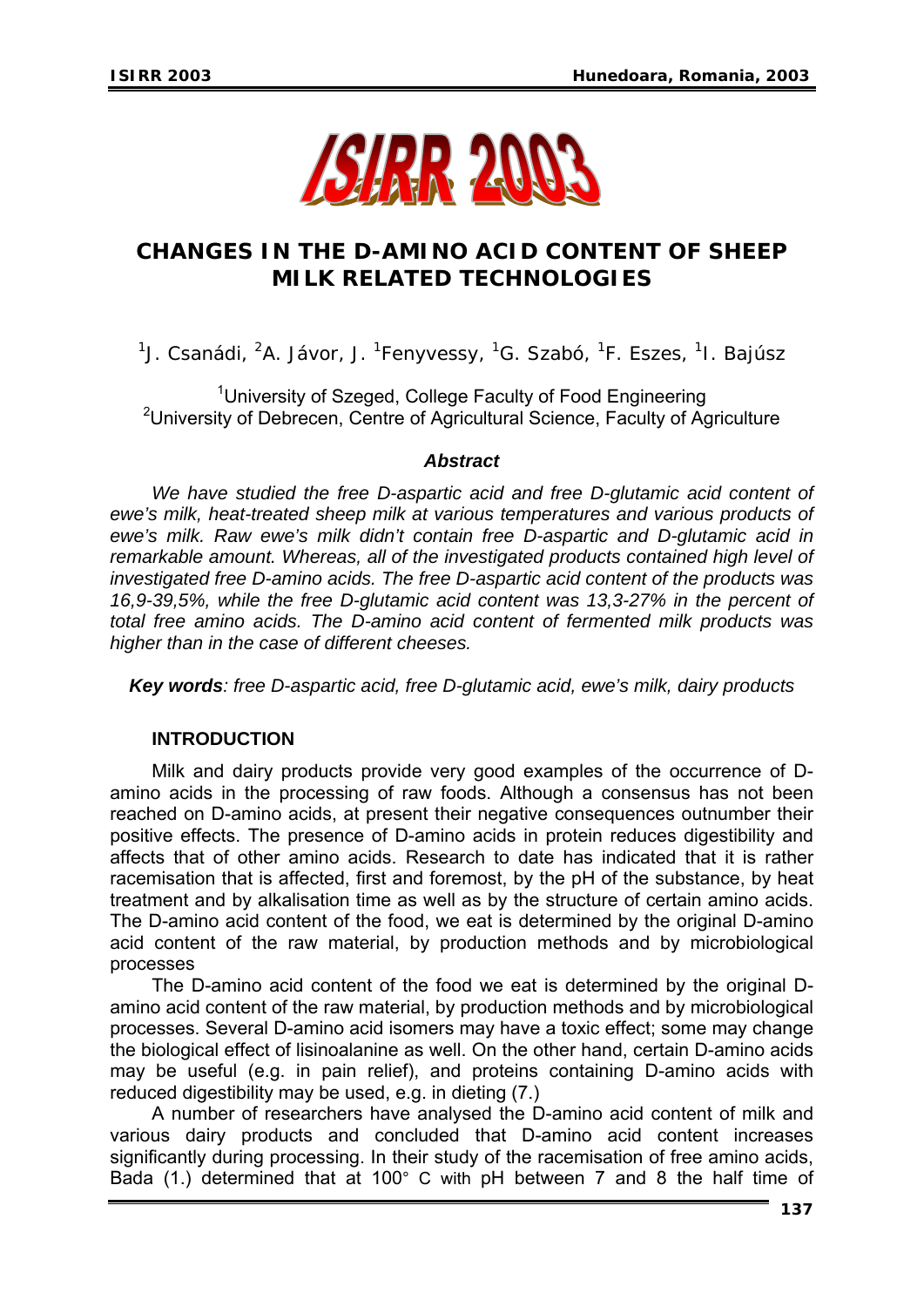

# **CHANGES IN THE D-AMINO ACID CONTENT OF SHEEP MILK RELATED TECHNOLOGIES**

<sup>1</sup>J. Csanádi, <sup>2</sup>A. Jávor, J. <sup>1</sup>Fenyvessy, <sup>1</sup>G. Szabó, <sup>1</sup>F. Eszes, <sup>1</sup>I. Bajúsz

<sup>1</sup>University of Szeged, College Faculty of Food Engineering <sup>2</sup>University of Debrecen, Centre of Agricultural Science, Faculty of Agriculture

### *Abstract*

We have studied the free D-aspartic acid and free D-glutamic acid content of *ewe's milk, heat-treated sheep milk at various temperatures and various products of ewe's milk. Raw ewe's milk didn't contain free D-aspartic and D-glutamic acid in remarkable amount. Whereas, all of the investigated products contained high level of investigated free D-amino acids. The free D-aspartic acid content of the products was 16,9-39,5%, while the free D-glutamic acid content was 13,3-27% in the percent of total free amino acids. The D-amino acid content of fermented milk products was higher than in the case of different cheeses.* 

*Key words: free D-aspartic acid, free D-glutamic acid, ewe's milk, dairy products* 

### **INTRODUCTION**

Milk and dairy products provide very good examples of the occurrence of Damino acids in the processing of raw foods. Although a consensus has not been reached on D-amino acids, at present their negative consequences outnumber their positive effects. The presence of D-amino acids in protein reduces digestibility and affects that of other amino acids. Research to date has indicated that it is rather racemisation that is affected, first and foremost, by the pH of the substance, by heat treatment and by alkalisation time as well as by the structure of certain amino acids. The D-amino acid content of the food, we eat is determined by the original D-amino acid content of the raw material, by production methods and by microbiological processes

The D-amino acid content of the food we eat is determined by the original Damino acid content of the raw material, by production methods and by microbiological processes. Several D-amino acid isomers may have a toxic effect; some may change the biological effect of lisinoalanine as well. On the other hand, certain D-amino acids may be useful (e.g. in pain relief), and proteins containing D-amino acids with reduced digestibility may be used, e.g. in dieting (7.)

A number of researchers have analysed the D-amino acid content of milk and various dairy products and concluded that D-amino acid content increases significantly during processing. In their study of the racemisation of free amino acids, Bada (1.) determined that at 100° C with pH between 7 and 8 the half time of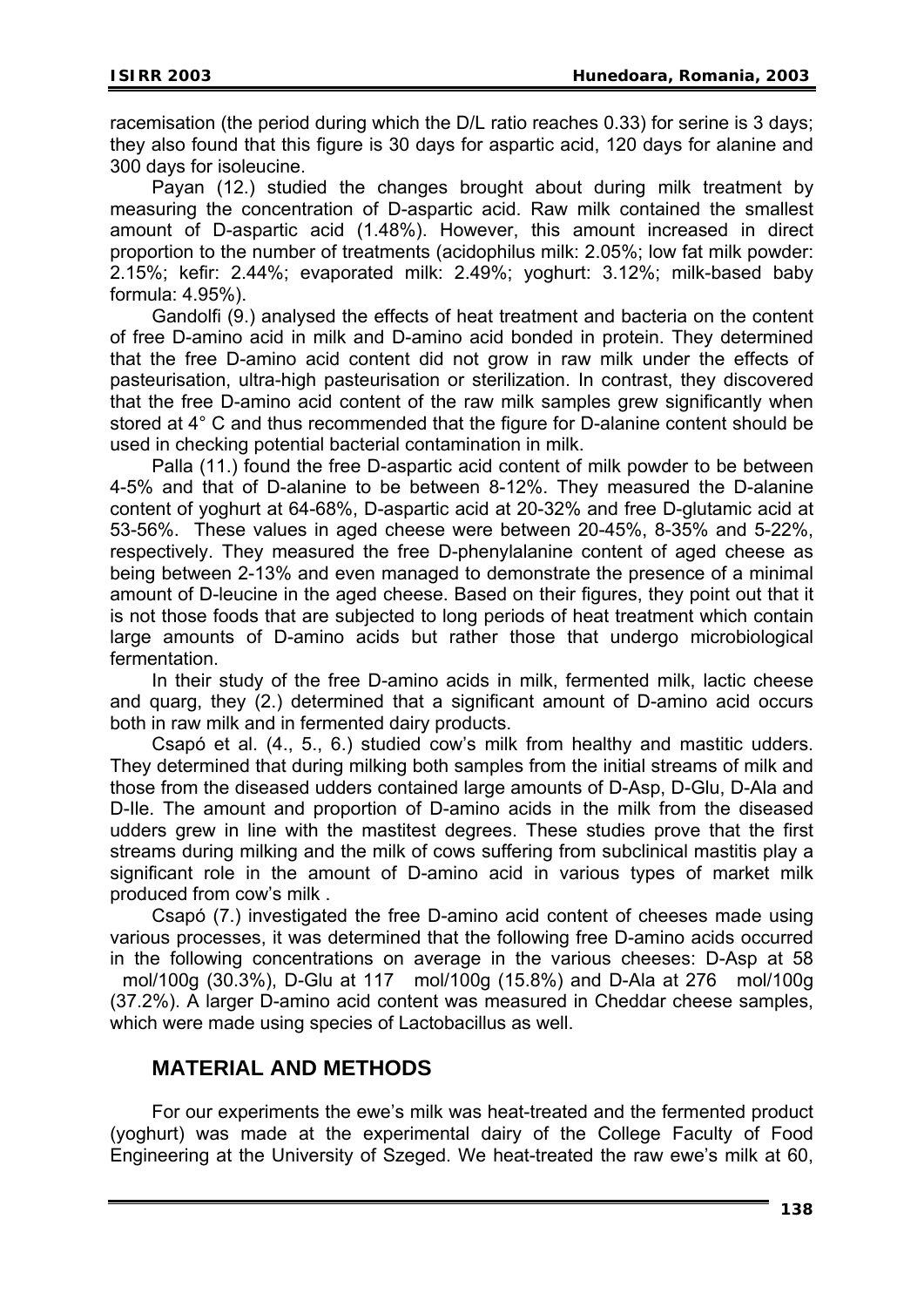racemisation (the period during which the D/L ratio reaches 0.33) for serine is 3 days; they also found that this figure is 30 days for aspartic acid, 120 days for alanine and 300 days for isoleucine.

Payan (12.) studied the changes brought about during milk treatment by measuring the concentration of D-aspartic acid. Raw milk contained the smallest amount of D-aspartic acid (1.48%). However, this amount increased in direct proportion to the number of treatments (acidophilus milk: 2.05%; low fat milk powder: 2.15%; kefir: 2.44%; evaporated milk: 2.49%; yoghurt: 3.12%; milk-based baby formula: 4.95%).

Gandolfi (9.) analysed the effects of heat treatment and bacteria on the content of free D-amino acid in milk and D-amino acid bonded in protein. They determined that the free D-amino acid content did not grow in raw milk under the effects of pasteurisation, ultra-high pasteurisation or sterilization. In contrast, they discovered that the free D-amino acid content of the raw milk samples grew significantly when stored at 4° C and thus recommended that the figure for D-alanine content should be used in checking potential bacterial contamination in milk.

Palla (11.) found the free D-aspartic acid content of milk powder to be between 4-5% and that of D-alanine to be between 8-12%. They measured the D-alanine content of yoghurt at 64-68%, D-aspartic acid at 20-32% and free D-glutamic acid at 53-56%. These values in aged cheese were between 20-45%, 8-35% and 5-22%, respectively. They measured the free D-phenylalanine content of aged cheese as being between 2-13% and even managed to demonstrate the presence of a minimal amount of D-leucine in the aged cheese. Based on their figures, they point out that it is not those foods that are subjected to long periods of heat treatment which contain large amounts of D-amino acids but rather those that undergo microbiological fermentation.

In their study of the free D-amino acids in milk, fermented milk, lactic cheese and quarg, they (2.) determined that a significant amount of D-amino acid occurs both in raw milk and in fermented dairy products.

Csapó et al. (4., 5., 6.) studied cow's milk from healthy and mastitic udders. They determined that during milking both samples from the initial streams of milk and those from the diseased udders contained large amounts of D-Asp, D-Glu, D-Ala and D-Ile. The amount and proportion of D-amino acids in the milk from the diseased udders grew in line with the mastitest degrees. These studies prove that the first streams during milking and the milk of cows suffering from subclinical mastitis play a significant role in the amount of D-amino acid in various types of market milk produced from cow's milk .

Csapó (7.) investigated the free D-amino acid content of cheeses made using various processes, it was determined that the following free D-amino acids occurred in the following concentrations on average in the various cheeses: D-Asp at 58 mol/100g (30.3%), D-Glu at 117 mol/100g (15.8%) and D-Ala at 276 mol/100g (37.2%). A larger D-amino acid content was measured in Cheddar cheese samples, which were made using species of Lactobacillus as well.

### **MATERIAL AND METHODS**

For our experiments the ewe's milk was heat-treated and the fermented product (yoghurt) was made at the experimental dairy of the College Faculty of Food Engineering at the University of Szeged. We heat-treated the raw ewe's milk at 60,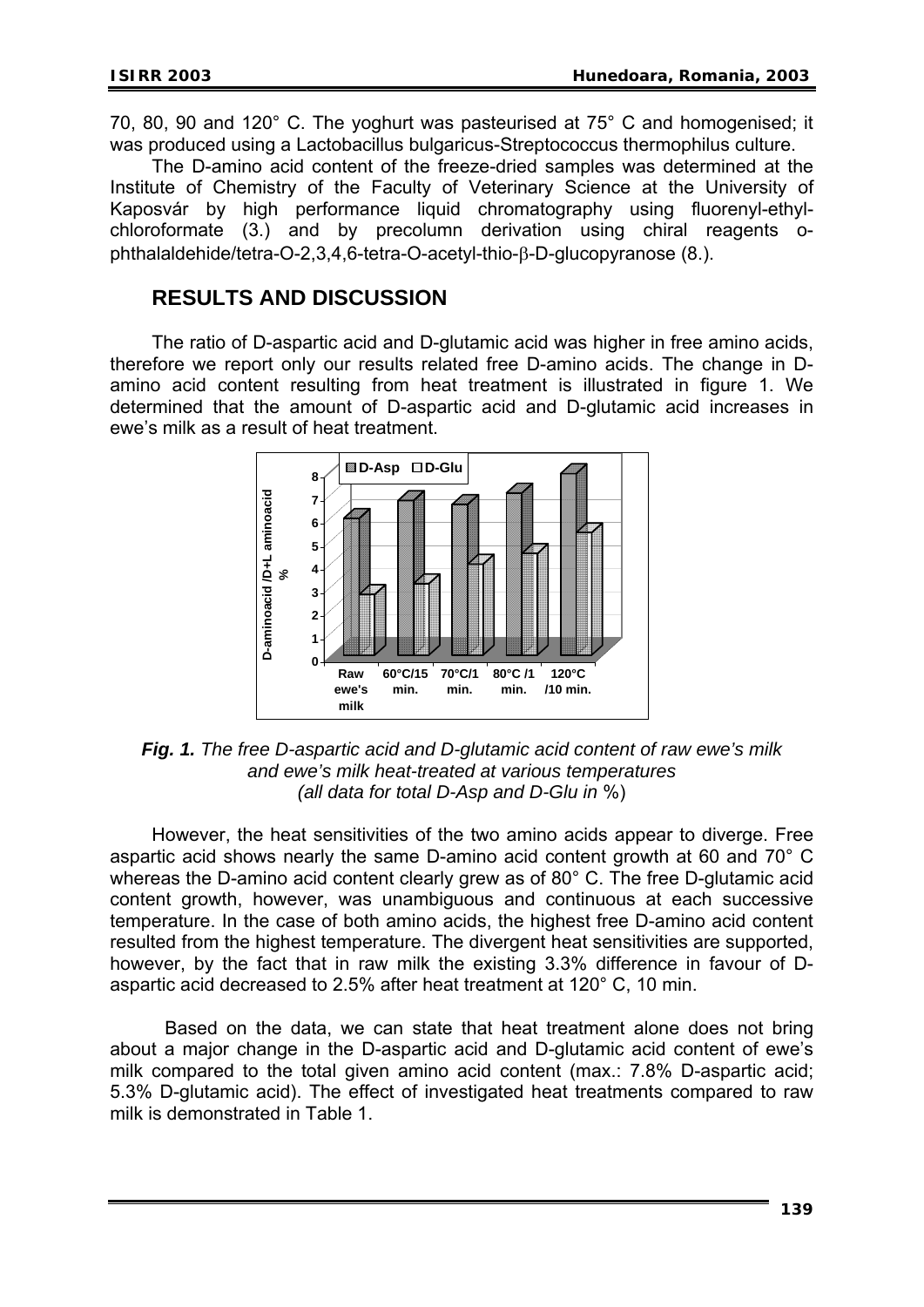70, 80, 90 and 120° C. The yoghurt was pasteurised at 75° C and homogenised; it was produced using a Lactobacillus bulgaricus-Streptococcus thermophilus culture.

The D-amino acid content of the freeze-dried samples was determined at the Institute of Chemistry of the Faculty of Veterinary Science at the University of Kaposvár by high performance liquid chromatography using fluorenyl-ethylchloroformate (3.) and by precolumn derivation using chiral reagents ophthalaldehide/tetra-O-2,3,4,6-tetra-O-acetyl-thio-β-D-glucopyranose (8.).

## **RESULTS AND DISCUSSION**

The ratio of D-aspartic acid and D-glutamic acid was higher in free amino acids, therefore we report only our results related free D-amino acids. The change in Damino acid content resulting from heat treatment is illustrated in figure 1. We determined that the amount of D-aspartic acid and D-glutamic acid increases in ewe's milk as a result of heat treatment.



*Fig. 1. The free D-aspartic acid and D-glutamic acid content of raw ewe's milk and ewe's milk heat-treated at various temperatures (all data for total D-Asp and D-Glu in* %)

However, the heat sensitivities of the two amino acids appear to diverge. Free aspartic acid shows nearly the same D-amino acid content growth at 60 and 70° C whereas the D-amino acid content clearly grew as of 80° C. The free D-glutamic acid content growth, however, was unambiguous and continuous at each successive temperature. In the case of both amino acids, the highest free D-amino acid content resulted from the highest temperature. The divergent heat sensitivities are supported, however, by the fact that in raw milk the existing 3.3% difference in favour of Daspartic acid decreased to 2.5% after heat treatment at 120° C, 10 min.

Based on the data, we can state that heat treatment alone does not bring about a major change in the D-aspartic acid and D-glutamic acid content of ewe's milk compared to the total given amino acid content (max.: 7.8% D-aspartic acid; 5.3% D-glutamic acid). The effect of investigated heat treatments compared to raw milk is demonstrated in Table 1.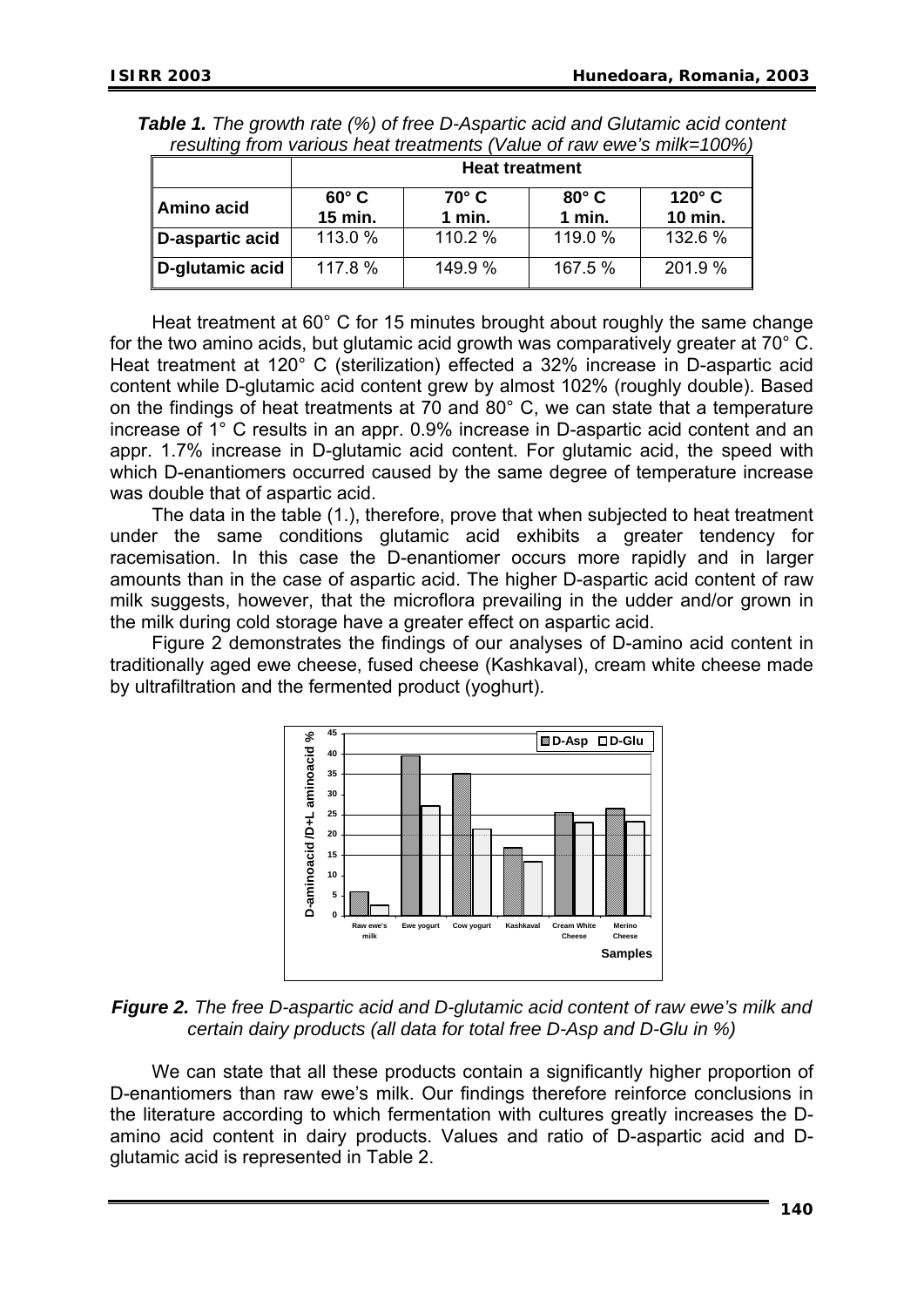| icsulting from various fical treatments (value of law cwe's fillin—TOO70) |                         |                        |                        |                                 |  |  |  |
|---------------------------------------------------------------------------|-------------------------|------------------------|------------------------|---------------------------------|--|--|--|
|                                                                           | <b>Heat treatment</b>   |                        |                        |                                 |  |  |  |
| Amino acid                                                                | $60^\circ$ C<br>15 min. | $70^\circ$ C<br>1 min. | $80^\circ$ C<br>1 min. | $120^\circ$ C<br><b>10 min.</b> |  |  |  |
| D-aspartic acid                                                           | 113.0 %                 | 110.2 %                | 119.0 %                | 132.6 %                         |  |  |  |
| D-glutamic acid                                                           | 117.8 %                 | 149.9 %                | 167.5 %                | 201.9%                          |  |  |  |

*Table 1. The growth rate (%) of free D-Aspartic acid and Glutamic acid content resulting from various heat treatments (Value of raw ewe's milk=100%)* 

Heat treatment at 60° C for 15 minutes brought about roughly the same change for the two amino acids, but glutamic acid growth was comparatively greater at 70° C. Heat treatment at 120° C (sterilization) effected a 32% increase in D-aspartic acid content while D-glutamic acid content grew by almost 102% (roughly double). Based on the findings of heat treatments at 70 and 80° C, we can state that a temperature increase of 1° C results in an appr. 0.9% increase in D-aspartic acid content and an appr. 1.7% increase in D-glutamic acid content. For glutamic acid, the speed with which D-enantiomers occurred caused by the same degree of temperature increase was double that of aspartic acid.

The data in the table (1.), therefore, prove that when subjected to heat treatment under the same conditions glutamic acid exhibits a greater tendency for racemisation. In this case the D-enantiomer occurs more rapidly and in larger amounts than in the case of aspartic acid. The higher D-aspartic acid content of raw milk suggests, however, that the microflora prevailing in the udder and/or grown in the milk during cold storage have a greater effect on aspartic acid.

Figure 2 demonstrates the findings of our analyses of D-amino acid content in traditionally aged ewe cheese, fused cheese (Kashkaval), cream white cheese made by ultrafiltration and the fermented product (yoghurt).



*Figure 2. The free D-aspartic acid and D-glutamic acid content of raw ewe's milk and certain dairy products (all data for total free D-Asp and D-Glu in %)* 

We can state that all these products contain a significantly higher proportion of D-enantiomers than raw ewe's milk. Our findings therefore reinforce conclusions in the literature according to which fermentation with cultures greatly increases the Damino acid content in dairy products. Values and ratio of D-aspartic acid and Dglutamic acid is represented in Table 2.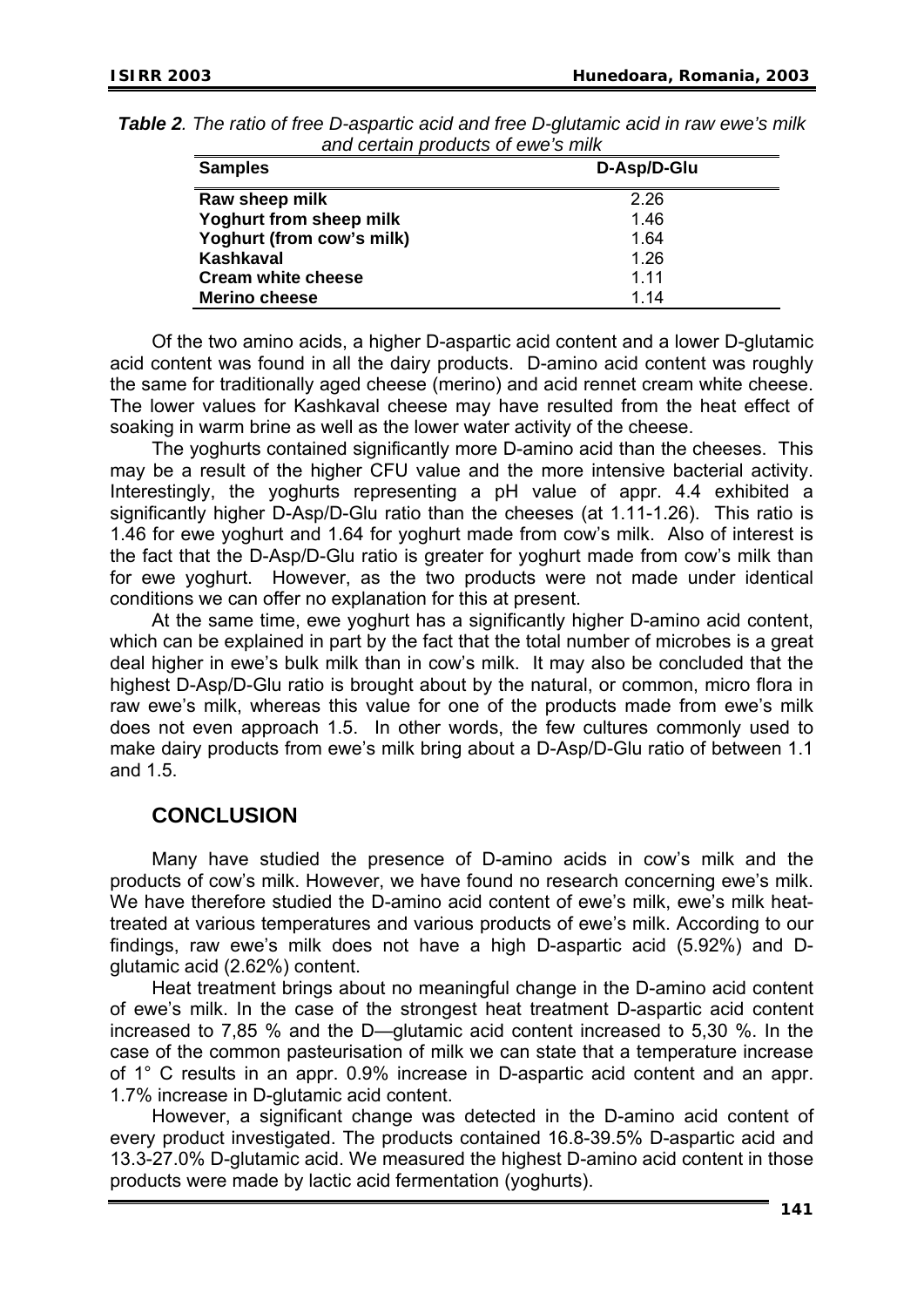| <b>Samples</b>            | D-Asp/D-Glu |  |  |
|---------------------------|-------------|--|--|
| Raw sheep milk            | 2.26        |  |  |
| Yoghurt from sheep milk   | 1.46        |  |  |
| Yoghurt (from cow's milk) | 1.64        |  |  |
| Kashkaval                 | 1.26        |  |  |
| <b>Cream white cheese</b> | 1 1 1       |  |  |
| <b>Merino cheese</b>      | 1.14        |  |  |

| <b>Table 2.</b> The ratio of free D-aspartic acid and free D-glutamic acid in raw ewe's milk |                                    |  |
|----------------------------------------------------------------------------------------------|------------------------------------|--|
|                                                                                              | and certain products of ewe's milk |  |

Of the two amino acids, a higher D-aspartic acid content and a lower D-glutamic acid content was found in all the dairy products. D-amino acid content was roughly the same for traditionally aged cheese (merino) and acid rennet cream white cheese. The lower values for Kashkaval cheese may have resulted from the heat effect of soaking in warm brine as well as the lower water activity of the cheese.

The yoghurts contained significantly more D-amino acid than the cheeses. This may be a result of the higher CFU value and the more intensive bacterial activity. Interestingly, the yoghurts representing a pH value of appr. 4.4 exhibited a significantly higher D-Asp/D-Glu ratio than the cheeses (at 1.11-1.26). This ratio is 1.46 for ewe yoghurt and 1.64 for yoghurt made from cow's milk. Also of interest is the fact that the D-Asp/D-Glu ratio is greater for yoghurt made from cow's milk than for ewe yoghurt. However, as the two products were not made under identical conditions we can offer no explanation for this at present.

At the same time, ewe yoghurt has a significantly higher D-amino acid content, which can be explained in part by the fact that the total number of microbes is a great deal higher in ewe's bulk milk than in cow's milk. It may also be concluded that the highest D-Asp/D-Glu ratio is brought about by the natural, or common, micro flora in raw ewe's milk, whereas this value for one of the products made from ewe's milk does not even approach 1.5. In other words, the few cultures commonly used to make dairy products from ewe's milk bring about a D-Asp/D-Glu ratio of between 1.1 and 1.5.

### **CONCLUSION**

Many have studied the presence of D-amino acids in cow's milk and the products of cow's milk. However, we have found no research concerning ewe's milk. We have therefore studied the D-amino acid content of ewe's milk, ewe's milk heattreated at various temperatures and various products of ewe's milk. According to our findings, raw ewe's milk does not have a high D-aspartic acid (5.92%) and Dglutamic acid (2.62%) content.

Heat treatment brings about no meaningful change in the D-amino acid content of ewe's milk. In the case of the strongest heat treatment D-aspartic acid content increased to 7,85 % and the D—glutamic acid content increased to 5,30 %. In the case of the common pasteurisation of milk we can state that a temperature increase of 1° C results in an appr. 0.9% increase in D-aspartic acid content and an appr. 1.7% increase in D-glutamic acid content.

However, a significant change was detected in the D-amino acid content of every product investigated. The products contained 16.8-39.5% D-aspartic acid and 13.3-27.0% D-glutamic acid. We measured the highest D-amino acid content in those products were made by lactic acid fermentation (yoghurts).